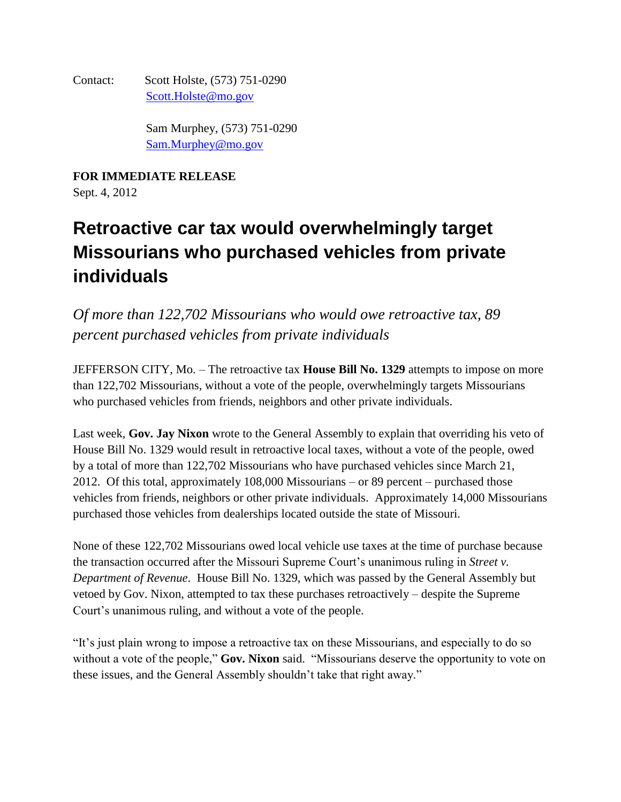Contact: Scott Holste, (573) 751-0290 [Scott.Holste@mo.gov](mailto:Scott.Holste@mo.gov)

> Sam Murphey, (573) 751-0290 [Sam.Murphey@mo.gov](mailto:Sam.Murphey@mo.gov)

**FOR IMMEDIATE RELEASE**

Sept. 4, 2012

## **Retroactive car tax would overwhelmingly target Missourians who purchased vehicles from private individuals**

*Of more than 122,702 Missourians who would owe retroactive tax, 89 percent purchased vehicles from private individuals* 

JEFFERSON CITY, Mo. – The retroactive tax **House Bill No. 1329** attempts to impose on more than 122,702 Missourians, without a vote of the people, overwhelmingly targets Missourians who purchased vehicles from friends, neighbors and other private individuals.

Last week, **Gov. Jay Nixon** wrote to the General Assembly to explain that overriding his veto of House Bill No. 1329 would result in retroactive local taxes, without a vote of the people, owed by a total of more than 122,702 Missourians who have purchased vehicles since March 21, 2012. Of this total, approximately 108,000 Missourians – or 89 percent – purchased those vehicles from friends, neighbors or other private individuals. Approximately 14,000 Missourians purchased those vehicles from dealerships located outside the state of Missouri.

None of these 122,702 Missourians owed local vehicle use taxes at the time of purchase because the transaction occurred after the Missouri Supreme Court's unanimous ruling in *Street v. Department of Revenue*. House Bill No. 1329, which was passed by the General Assembly but vetoed by Gov. Nixon, attempted to tax these purchases retroactively – despite the Supreme Court's unanimous ruling, and without a vote of the people.

"It's just plain wrong to impose a retroactive tax on these Missourians, and especially to do so without a vote of the people," **Gov. Nixon** said. "Missourians deserve the opportunity to vote on these issues, and the General Assembly shouldn't take that right away."